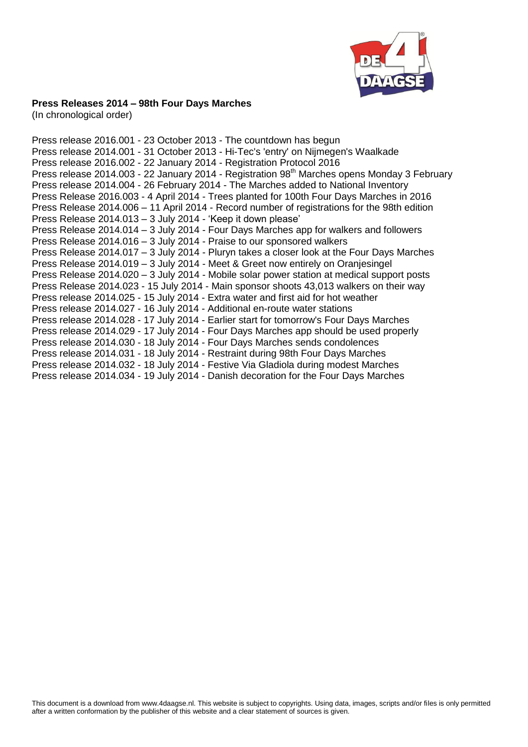

#### **Press Releases 2014 – 98th Four Days Marches**

(In chronological order)

Press release 2016.001 - 23 October 2013 - [The countdown has](http://www.4daagse.nl/en/media-pers/press-releases/47-english/media/281-pressrelease2016-001.html) begun Press release 2014.001 - 31 October 2013 - [Hi-Tec's 'entry' on Nijmegen's Waalkade](http://www.4daagse.nl/en/media-pers/press-releases/47-english/media/254-pressrelease2014-001.html) Press release 2016.002 - 22 January 2014 - [Registration Protocol 2016](http://www.4daagse.nl/en/47-english/media/273-pressrelease2016-002.html) Press release 2014.003 - 22 January 2014 - Registration 98<sup>th</sup> [Marches opens Monday 3 February](http://www.4daagse.nl/en/47-english/media/275-press-release-2014-003.html) Press release 2014.004 - 26 February 2014 - [The Marches added to National](http://www.4daagse.nl/en/47-english/media/286-automatisch-genereren-vanuit-titel.html) Inventory Press Release 2016.003 - 4 April 2014 - [Trees planted for 100th Four Days Marches in 2016](http://www.4daagse.nl/en/47-english/media/287-press-release-2016-003.html) Press Release 2014.006 – 11 April 2014 - [Record number of registrations for the 98th edition](http://www.4daagse.nl/en/47-english/media/256-pressrelease2014-006.html) Press Release 2014.013 – 3 July 2014 - ['Keep it down please'](http://www.4daagse.nl/en/47-english/media/263-pressrelease2014-013.html) Press Release 2014.014 – 3 July 2014 - [Four Days Marches app for walkers and followers](http://www.4daagse.nl/en/47-english/media/264-pressrelease2014-014.html) Press Release 2014.016 – 3 July 2014 - [Praise to our sponsored walkers](http://www.4daagse.nl/en/47-english/media/266-pressrelease-2014-016.html) Press Release 2014.017 – 3 July 2014 - [Pluryn takes a closer look at the Four Days Marches](http://www.4daagse.nl/en/47-english/media/267-pressrelease2014-017.html) Press Release 2014.019 – 3 July 2014 - [Meet & Greet now entirely on Oranjesingel](http://www.4daagse.nl/en/47-english/media/269-pressrelease2014-019.html) Press Release 2014.020 – 3 July 2014 - [Mobile solar power station at medical support posts](http://www.4daagse.nl/en/47-english/media/270-pressrelease-2014-020.html) Press Release 2014.023 - 15 July 2014 - [Main sponsor shoots 43,013 walkers on their way](http://www.4daagse.nl/en/47-english/media/325-pressrelease2014-023.html) Press release 2014.025 - 15 July 2014 - [Extra water and first aid for hot weather](http://www.4daagse.nl/en/47-english/media/326-pressrelease2014-025.html) Press release 2014.027 - 16 July 2014 - [Additional en-route water stations](http://www.4daagse.nl/en/47-english/media/277-pressrelease2014-027.html) Press release 2014.028 - 17 July 2014 - [Earlier start for tomorrow's Four Days Marches](http://www.4daagse.nl/en/47-english/media/278-pressrelease2014-028.html) Press release 2014.029 - 17 July 2014 - [Four Days Marches app should be used properly](http://www.4daagse.nl/en/47-english/media/279-pressrelease2014-029.html) Press release 2014.030 - 18 July 2014 - [Four Days Marches sends condolences](http://www.4daagse.nl/en/47-english/media/280-pressrelease2014-030.html) Press release 2014.031 - 18 July 2014 - [Restraint during 98t](http://www.4daagse.nl/en/47-english/media/283-pressrelease2014-031.html)h Four Days Marches Press release 2014.032 - 18 July 2014 - [Festive Via Gladiola during modest Marches](http://www.4daagse.nl/en/47-english/media/282-pressrelease2014-032.html) Press release 2014.034 - 19 July 2014 - [Danish decoration for the Four Days Marches](http://www.4daagse.nl/en/47-english/media/284-pressrelease2014-034.html)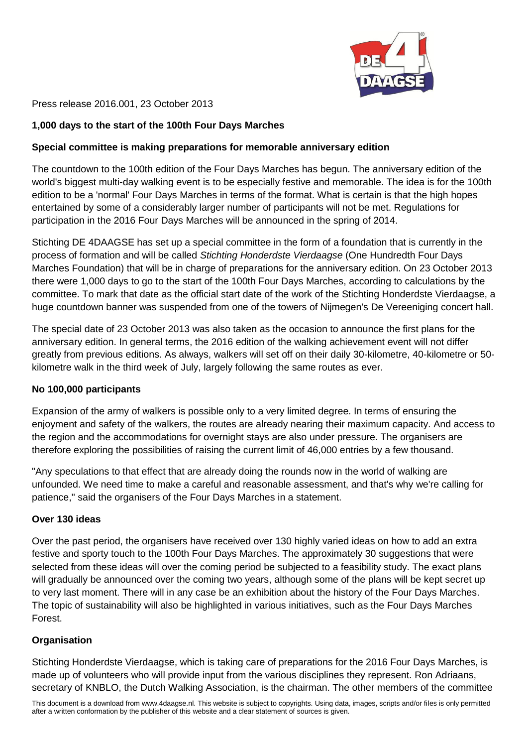

Press release 2016.001, 23 October 2013

# **1,000 days to the start of the 100th Four Days Marches**

## **Special committee is making preparations for memorable anniversary edition**

The countdown to the 100th edition of the Four Days Marches has begun. The anniversary edition of the world's biggest multi-day walking event is to be especially festive and memorable. The idea is for the 100th edition to be a 'normal' Four Days Marches in terms of the format. What is certain is that the high hopes entertained by some of a considerably larger number of participants will not be met. Regulations for participation in the 2016 Four Days Marches will be announced in the spring of 2014.

Stichting DE 4DAAGSE has set up a special committee in the form of a foundation that is currently in the process of formation and will be called *Stichting Honderdste Vierdaagse* (One Hundredth Four Days Marches Foundation) that will be in charge of preparations for the anniversary edition. On 23 October 2013 there were 1,000 days to go to the start of the 100th Four Days Marches, according to calculations by the committee. To mark that date as the official start date of the work of the Stichting Honderdste Vierdaagse, a huge countdown banner was suspended from one of the towers of Nijmegen's De Vereeniging concert hall.

The special date of 23 October 2013 was also taken as the occasion to announce the first plans for the anniversary edition. In general terms, the 2016 edition of the walking achievement event will not differ greatly from previous editions. As always, walkers will set off on their daily 30-kilometre, 40-kilometre or 50 kilometre walk in the third week of July, largely following the same routes as ever.

## **No 100,000 participants**

Expansion of the army of walkers is possible only to a very limited degree. In terms of ensuring the enjoyment and safety of the walkers, the routes are already nearing their maximum capacity. And access to the region and the accommodations for overnight stays are also under pressure. The organisers are therefore exploring the possibilities of raising the current limit of 46,000 entries by a few thousand.

"Any speculations to that effect that are already doing the rounds now in the world of walking are unfounded. We need time to make a careful and reasonable assessment, and that's why we're calling for patience," said the organisers of the Four Days Marches in a statement.

## **Over 130 ideas**

Over the past period, the organisers have received over 130 highly varied ideas on how to add an extra festive and sporty touch to the 100th Four Days Marches. The approximately 30 suggestions that were selected from these ideas will over the coming period be subjected to a feasibility study. The exact plans will gradually be announced over the coming two years, although some of the plans will be kept secret up to very last moment. There will in any case be an exhibition about the history of the Four Days Marches. The topic of sustainability will also be highlighted in various initiatives, such as the Four Days Marches Forest.

# **Organisation**

Stichting Honderdste Vierdaagse, which is taking care of preparations for the 2016 Four Days Marches, is made up of volunteers who will provide input from the various disciplines they represent. Ron Adriaans, secretary of KNBLO, the Dutch Walking Association, is the chairman. The other members of the committee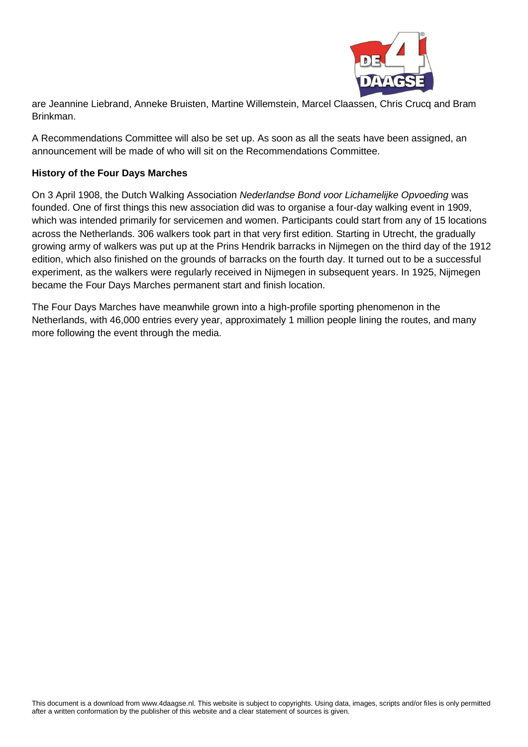

are Jeannine Liebrand, Anneke Bruisten, Martine Willemstein, Marcel Claassen, Chris Crucq and Bram Brinkman.

A Recommendations Committee will also be set up. As soon as all the seats have been assigned, an announcement will be made of who will sit on the Recommendations Committee.

## **History of the Four Days Marches**

On 3 April 1908, the Dutch Walking Association *Nederlandse Bond voor Lichamelijke Opvoeding* was founded. One of first things this new association did was to organise a four-day walking event in 1909, which was intended primarily for servicemen and women. Participants could start from any of 15 locations across the Netherlands. 306 walkers took part in that very first edition. Starting in Utrecht, the gradually growing army of walkers was put up at the Prins Hendrik barracks in Nijmegen on the third day of the 1912 edition, which also finished on the grounds of barracks on the fourth day. It turned out to be a successful experiment, as the walkers were regularly received in Nijmegen in subsequent years. In 1925, Nijmegen became the Four Days Marches permanent start and finish location.

The Four Days Marches have meanwhile grown into a high-profile sporting phenomenon in the Netherlands, with 46,000 entries every year, approximately 1 million people lining the routes, and many more following the event through the media.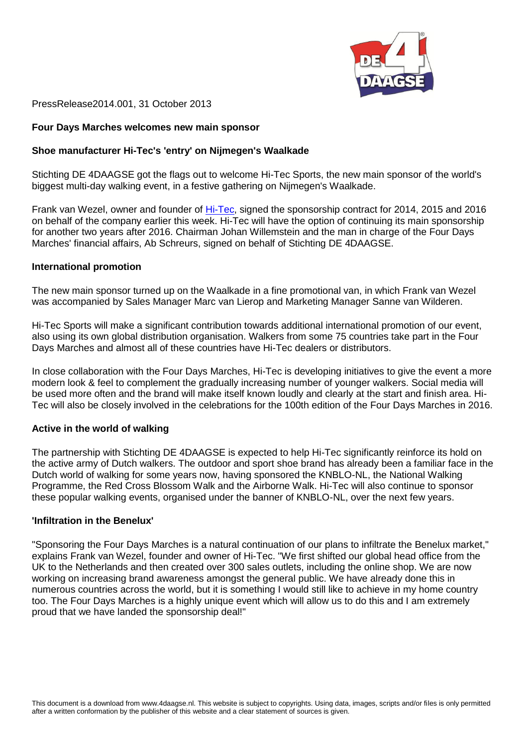

PressRelease2014.001, 31 October 2013

#### **Four Days Marches welcomes new main sponsor**

#### **Shoe manufacturer Hi-Tec's 'entry' on Nijmegen's Waalkade**

Stichting DE 4DAAGSE got the flags out to welcome Hi-Tec Sports, the new main sponsor of the world's biggest multi-day walking event, in a festive gathering on Nijmegen's Waalkade.

Frank van Wezel, owner and founder of [Hi-Tec,](http://www.hi-tec.com/) signed the sponsorship contract for 2014, 2015 and 2016 on behalf of the company earlier this week. Hi-Tec will have the option of continuing its main sponsorship for another two years after 2016. Chairman Johan Willemstein and the man in charge of the Four Days Marches' financial affairs, Ab Schreurs, signed on behalf of Stichting DE 4DAAGSE.

#### **International promotion**

The new main sponsor turned up on the Waalkade in a fine promotional van, in which Frank van Wezel was accompanied by Sales Manager Marc van Lierop and Marketing Manager Sanne van Wilderen.

Hi-Tec Sports will make a significant contribution towards additional international promotion of our event, also using its own global distribution organisation. Walkers from some 75 countries take part in the Four Days Marches and almost all of these countries have Hi-Tec dealers or distributors.

In close collaboration with the Four Days Marches, Hi-Tec is developing initiatives to give the event a more modern look & feel to complement the gradually increasing number of younger walkers. Social media will be used more often and the brand will make itself known loudly and clearly at the start and finish area. Hi-Tec will also be closely involved in the celebrations for the 100th edition of the Four Days Marches in 2016.

#### **Active in the world of walking**

The partnership with Stichting DE 4DAAGSE is expected to help Hi-Tec significantly reinforce its hold on the active army of Dutch walkers. The outdoor and sport shoe brand has already been a familiar face in the Dutch world of walking for some years now, having sponsored the KNBLO-NL, the National Walking Programme, the Red Cross Blossom Walk and the Airborne Walk. Hi-Tec will also continue to sponsor these popular walking events, organised under the banner of KNBLO-NL, over the next few years.

#### **'Infiltration in the Benelux'**

"Sponsoring the Four Days Marches is a natural continuation of our plans to infiltrate the Benelux market," explains Frank van Wezel, founder and owner of Hi-Tec. "We first shifted our global head office from the UK to the Netherlands and then created over 300 sales outlets, including the online shop. We are now working on increasing brand awareness amongst the general public. We have already done this in numerous countries across the world, but it is something I would still like to achieve in my home country too. The Four Days Marches is a highly unique event which will allow us to do this and I am extremely proud that we have landed the sponsorship deal!"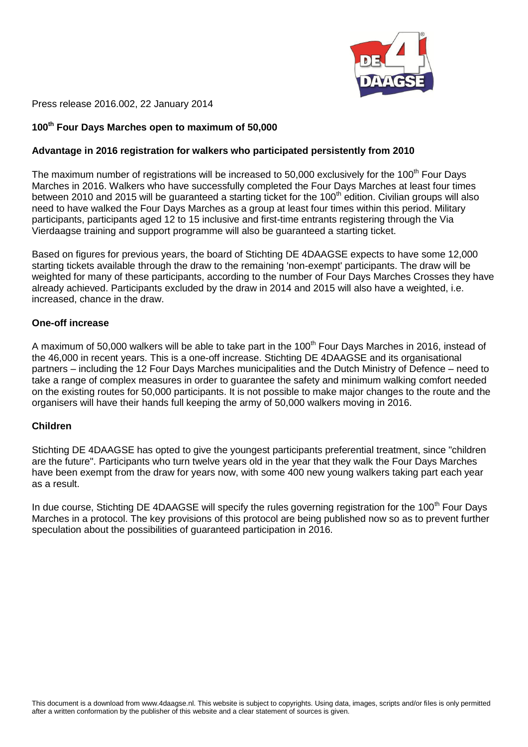

Press release 2016.002, 22 January 2014

## **100th Four Days Marches open to maximum of 50,000**

## **Advantage in 2016 registration for walkers who participated persistently from 2010**

The maximum number of registrations will be increased to 50,000 exclusively for the 100<sup>th</sup> Four Days Marches in 2016. Walkers who have successfully completed the Four Days Marches at least four times between 2010 and 2015 will be guaranteed a starting ticket for the 100<sup>th</sup> edition. Civilian groups will also need to have walked the Four Days Marches as a group at least four times within this period. Military participants, participants aged 12 to 15 inclusive and first-time entrants registering through the Via Vierdaagse training and support programme will also be guaranteed a starting ticket.

Based on figures for previous years, the board of Stichting DE 4DAAGSE expects to have some 12,000 starting tickets available through the draw to the remaining 'non-exempt' participants. The draw will be weighted for many of these participants, according to the number of Four Days Marches Crosses they have already achieved. Participants excluded by the draw in 2014 and 2015 will also have a weighted, i.e. increased, chance in the draw.

#### **One-off increase**

A maximum of 50,000 walkers will be able to take part in the 100<sup>th</sup> Four Days Marches in 2016, instead of the 46,000 in recent years. This is a one-off increase. Stichting DE 4DAAGSE and its organisational partners – including the 12 Four Days Marches municipalities and the Dutch Ministry of Defence – need to take a range of complex measures in order to guarantee the safety and minimum walking comfort needed on the existing routes for 50,000 participants. It is not possible to make major changes to the route and the organisers will have their hands full keeping the army of 50,000 walkers moving in 2016.

## **Children**

Stichting DE 4DAAGSE has opted to give the youngest participants preferential treatment, since "children are the future". Participants who turn twelve years old in the year that they walk the Four Days Marches have been exempt from the draw for years now, with some 400 new young walkers taking part each year as a result.

In due course, Stichting DE 4DAAGSE will specify the rules governing registration for the 100<sup>th</sup> Four Days Marches in a protocol. The key provisions of this protocol are being published now so as to prevent further speculation about the possibilities of guaranteed participation in 2016.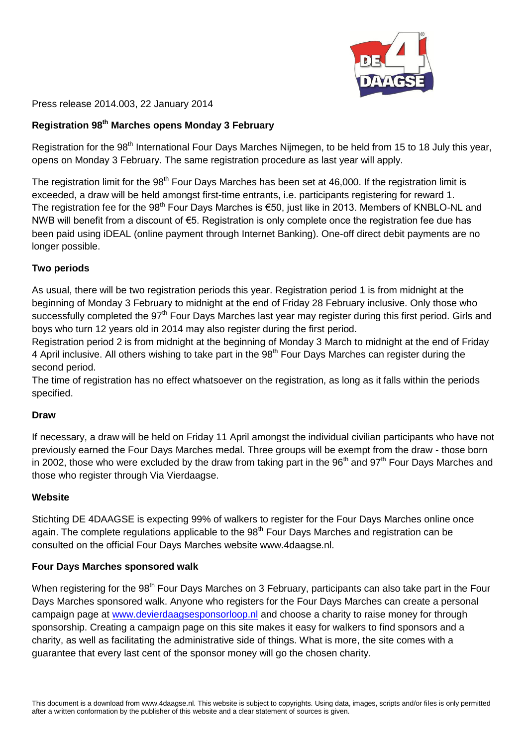

Press release 2014.003, 22 January 2014

## **Registration 98 th Marches opens Monday 3 February**

Registration for the 98<sup>th</sup> International Four Days Marches Nijmegen, to be held from 15 to 18 July this year, opens on Monday 3 February. The same registration procedure as last year will apply.

The registration limit for the 98<sup>th</sup> Four Days Marches has been set at 46,000. If the registration limit is exceeded, a draw will be held amongst first-time entrants, i.e. participants registering for reward 1. The registration fee for the 98<sup>th</sup> Four Days Marches is  $\epsilon$ 50, just like in 2013. Members of KNBLO-NL and NWB will benefit from a discount of €5. Registration is only complete once the registration fee due has been paid using iDEAL (online payment through Internet Banking). One-off direct debit payments are no longer possible.

## **Two periods**

As usual, there will be two registration periods this year. Registration period 1 is from midnight at the beginning of Monday 3 February to midnight at the end of Friday 28 February inclusive. Only those who successfully completed the 97<sup>th</sup> Four Days Marches last year may register during this first period. Girls and boys who turn 12 years old in 2014 may also register during the first period.

Registration period 2 is from midnight at the beginning of Monday 3 March to midnight at the end of Friday 4 April inclusive. All others wishing to take part in the 98<sup>th</sup> Four Days Marches can register during the second period.

The time of registration has no effect whatsoever on the registration, as long as it falls within the periods specified.

## **Draw**

If necessary, a draw will be held on Friday 11 April amongst the individual civilian participants who have not previously earned the Four Days Marches medal. Three groups will be exempt from the draw - those born in 2002, those who were excluded by the draw from taking part in the 96<sup>th</sup> and 97<sup>th</sup> Four Days Marches and those who register through Via Vierdaagse.

## **Website**

Stichting DE 4DAAGSE is expecting 99% of walkers to register for the Four Days Marches online once again. The complete regulations applicable to the 98<sup>th</sup> Four Days Marches and registration can be consulted on the official Four Days Marches website www.4daagse.nl.

## **Four Days Marches sponsored walk**

When registering for the 98<sup>th</sup> Four Days Marches on 3 February, participants can also take part in the Four Days Marches sponsored walk. Anyone who registers for the Four Days Marches can create a personal campaign page at [www.devierdaagsesponsorloop.nl](http://www.devierdaagsesponsorloop.nl/) and choose a charity to raise money for through sponsorship. Creating a campaign page on this site makes it easy for walkers to find sponsors and a charity, as well as facilitating the administrative side of things. What is more, the site comes with a guarantee that every last cent of the sponsor money will go the chosen charity.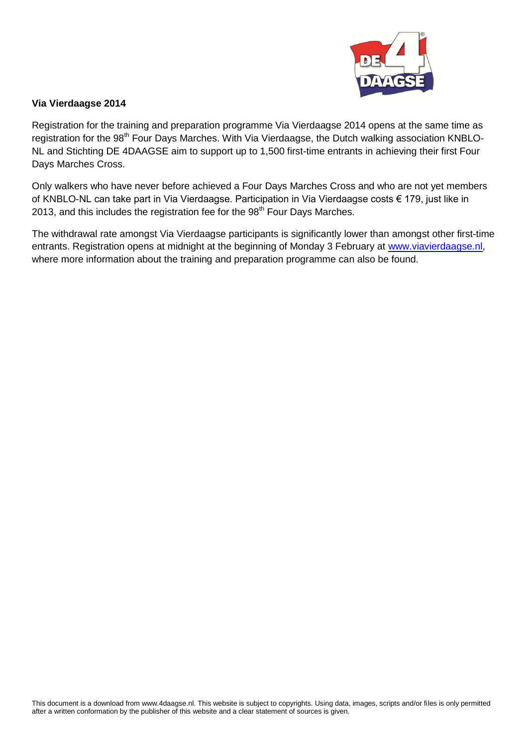

## **Via Vierdaagse 2014**

Registration for the training and preparation programme Via Vierdaagse 2014 opens at the same time as registration for the 98<sup>th</sup> Four Days Marches. With Via Vierdaagse, the Dutch walking association KNBLO-NL and Stichting DE 4DAAGSE aim to support up to 1,500 first-time entrants in achieving their first Four Days Marches Cross.

Only walkers who have never before achieved a Four Days Marches Cross and who are not yet members of KNBLO-NL can take part in Via Vierdaagse. Participation in Via Vierdaagse costs € 179, just like in 2013, and this includes the registration fee for the  $98<sup>th</sup>$  Four Days Marches.

The withdrawal rate amongst Via Vierdaagse participants is significantly lower than amongst other first-time entrants. Registration opens at midnight at the beginning of Monday 3 February at [www.viavierdaagse.nl,](http://www.viavierdaagse.nl/) where more information about the training and preparation programme can also be found.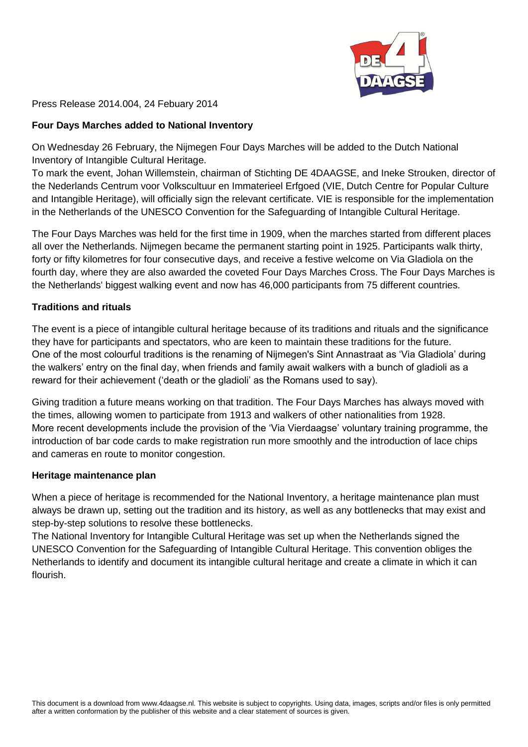

Press Release 2014.004, 24 Febuary 2014

## **Four Days Marches added to National Inventory**

On Wednesday 26 February, the Nijmegen Four Days Marches will be added to the Dutch National Inventory of Intangible Cultural Heritage.

To mark the event, Johan Willemstein, chairman of Stichting DE 4DAAGSE, and Ineke Strouken, director of the Nederlands Centrum voor Volkscultuur en Immaterieel Erfgoed (VIE, Dutch Centre for Popular Culture and Intangible Heritage), will officially sign the relevant certificate. VIE is responsible for the implementation in the Netherlands of the UNESCO Convention for the Safeguarding of Intangible Cultural Heritage.

The Four Days Marches was held for the first time in 1909, when the marches started from different places all over the Netherlands. Nijmegen became the permanent starting point in 1925. Participants walk thirty, forty or fifty kilometres for four consecutive days, and receive a festive welcome on Via Gladiola on the fourth day, where they are also awarded the coveted Four Days Marches Cross. The Four Days Marches is the Netherlands' biggest walking event and now has 46,000 participants from 75 different countries.

## **Traditions and rituals**

The event is a piece of intangible cultural heritage because of its traditions and rituals and the significance they have for participants and spectators, who are keen to maintain these traditions for the future. One of the most colourful traditions is the renaming of Nijmegen's Sint Annastraat as 'Via Gladiola' during the walkers' entry on the final day, when friends and family await walkers with a bunch of gladioli as a reward for their achievement ('death or the gladioli' as the Romans used to say).

Giving tradition a future means working on that tradition. The Four Days Marches has always moved with the times, allowing women to participate from 1913 and walkers of other nationalities from 1928. More recent developments include the provision of the 'Via Vierdaagse' voluntary training programme, the introduction of bar code cards to make registration run more smoothly and the introduction of lace chips and cameras en route to monitor congestion.

## **Heritage maintenance plan**

When a piece of heritage is recommended for the National Inventory, a heritage maintenance plan must always be drawn up, setting out the tradition and its history, as well as any bottlenecks that may exist and step-by-step solutions to resolve these bottlenecks.

The National Inventory for Intangible Cultural Heritage was set up when the Netherlands signed the UNESCO Convention for the Safeguarding of Intangible Cultural Heritage. This convention obliges the Netherlands to identify and document its intangible cultural heritage and create a climate in which it can flourish.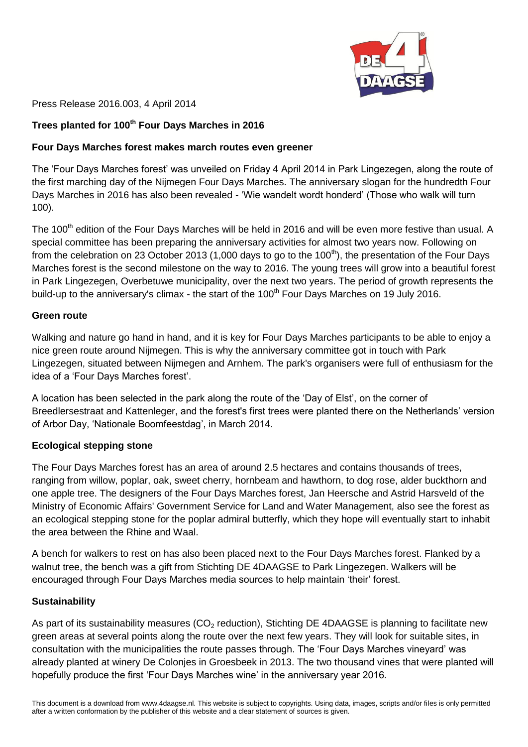

Press Release 2016.003, 4 April 2014

# **Trees planted for 100th Four Days Marches in 2016**

## **Four Days Marches forest makes march routes even greener**

The 'Four Days Marches forest' was unveiled on Friday 4 April 2014 in Park Lingezegen, along the route of the first marching day of the Nijmegen Four Days Marches. The anniversary slogan for the hundredth Four Days Marches in 2016 has also been revealed - 'Wie wandelt wordt honderd' (Those who walk will turn 100).

The 100<sup>th</sup> edition of the Four Days Marches will be held in 2016 and will be even more festive than usual. A special committee has been preparing the anniversary activities for almost two years now. Following on from the celebration on 23 October 2013 (1,000 days to go to the 100<sup>th</sup>), the presentation of the Four Days Marches forest is the second milestone on the way to 2016. The young trees will grow into a beautiful forest in Park Lingezegen, Overbetuwe municipality, over the next two years. The period of growth represents the build-up to the anniversary's climax - the start of the  $100<sup>th</sup>$  Four Days Marches on 19 July 2016.

#### **Green route**

Walking and nature go hand in hand, and it is key for Four Days Marches participants to be able to enjoy a nice green route around Nijmegen. This is why the anniversary committee got in touch with Park Lingezegen, situated between Nijmegen and Arnhem. The park's organisers were full of enthusiasm for the idea of a 'Four Days Marches forest'.

A location has been selected in the park along the route of the 'Day of Elst', on the corner of Breedlersestraat and Kattenleger, and the forest's first trees were planted there on the Netherlands' version of Arbor Day, 'Nationale Boomfeestdag', in March 2014.

## **Ecological stepping stone**

The Four Days Marches forest has an area of around 2.5 hectares and contains thousands of trees, ranging from willow, poplar, oak, sweet cherry, hornbeam and hawthorn, to dog rose, alder buckthorn and one apple tree. The designers of the Four Days Marches forest, Jan Heersche and Astrid Harsveld of the Ministry of Economic Affairs' Government Service for Land and Water Management, also see the forest as an ecological stepping stone for the poplar admiral butterfly, which they hope will eventually start to inhabit the area between the Rhine and Waal.

A bench for walkers to rest on has also been placed next to the Four Days Marches forest. Flanked by a walnut tree, the bench was a gift from Stichting DE 4DAAGSE to Park Lingezegen. Walkers will be encouraged through Four Days Marches media sources to help maintain 'their' forest.

## **Sustainability**

As part of its sustainability measures ( $CO<sub>2</sub>$  reduction), Stichting DE 4DAAGSE is planning to facilitate new green areas at several points along the route over the next few years. They will look for suitable sites, in consultation with the municipalities the route passes through. The 'Four Days Marches vineyard' was already planted at winery De Colonjes in Groesbeek in 2013. The two thousand vines that were planted will hopefully produce the first 'Four Days Marches wine' in the anniversary year 2016.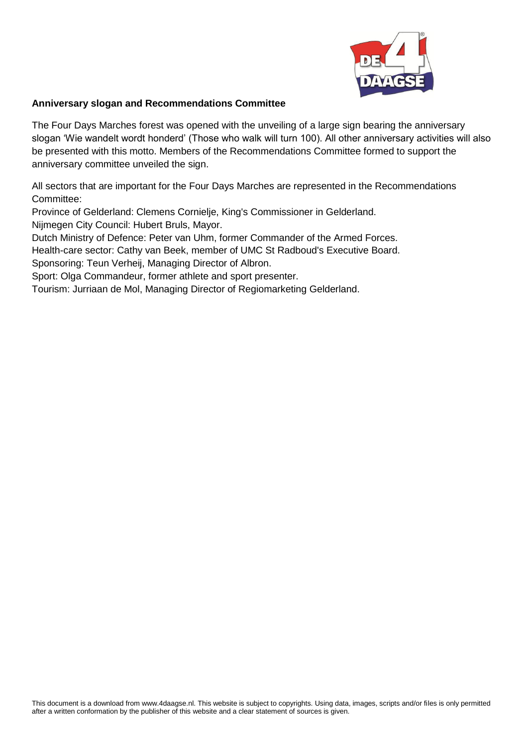

## **Anniversary slogan and Recommendations Committee**

The Four Days Marches forest was opened with the unveiling of a large sign bearing the anniversary slogan 'Wie wandelt wordt honderd' (Those who walk will turn 100). All other anniversary activities will also be presented with this motto. Members of the Recommendations Committee formed to support the anniversary committee unveiled the sign.

All sectors that are important for the Four Days Marches are represented in the Recommendations Committee:

Province of Gelderland: Clemens Cornielje, King's Commissioner in Gelderland.

Nijmegen City Council: Hubert Bruls, Mayor.

Dutch Ministry of Defence: Peter van Uhm, former Commander of the Armed Forces.

Health-care sector: Cathy van Beek, member of UMC St Radboud's Executive Board.

Sponsoring: Teun Verheij, Managing Director of Albron.

Sport: Olga Commandeur, former athlete and sport presenter.

Tourism: Jurriaan de Mol, Managing Director of Regiomarketing Gelderland.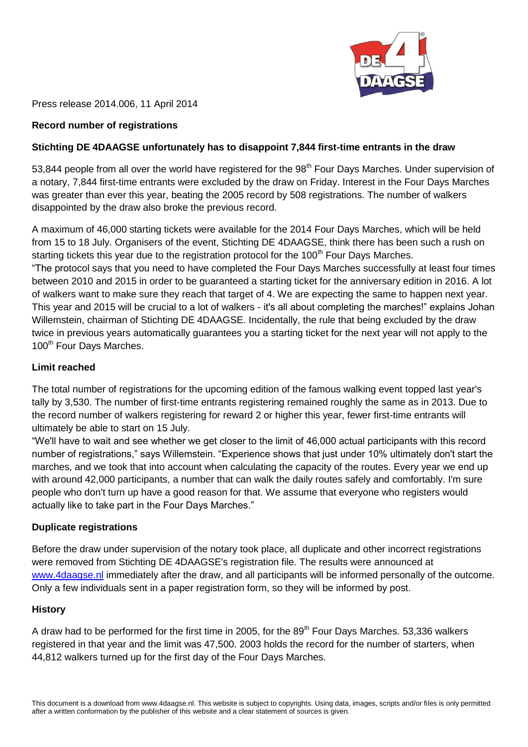

Press release 2014.006, 11 April 2014

## **Record number of registrations**

## **Stichting DE 4DAAGSE unfortunately has to disappoint 7,844 first-time entrants in the draw**

53,844 people from all over the world have registered for the 98<sup>th</sup> Four Days Marches. Under supervision of a notary, 7,844 first-time entrants were excluded by the draw on Friday. Interest in the Four Days Marches was greater than ever this year, beating the 2005 record by 508 registrations. The number of walkers disappointed by the draw also broke the previous record.

A maximum of 46,000 starting tickets were available for the 2014 Four Days Marches, which will be held from 15 to 18 July. Organisers of the event, Stichting DE 4DAAGSE, think there has been such a rush on starting tickets this year due to the registration protocol for the 100<sup>th</sup> Four Days Marches. "The protocol says that you need to have completed the Four Days Marches successfully at least four times between 2010 and 2015 in order to be guaranteed a starting ticket for the anniversary edition in 2016. A lot of walkers want to make sure they reach that target of 4. We are expecting the same to happen next year. This year and 2015 will be crucial to a lot of walkers - it's all about completing the marches!" explains Johan Willemstein, chairman of Stichting DE 4DAAGSE. Incidentally, the rule that being excluded by the draw twice in previous years automatically guarantees you a starting ticket for the next year will not apply to the 100<sup>th</sup> Four Days Marches.

## **Limit reached**

The total number of registrations for the upcoming edition of the famous walking event topped last year's tally by 3,530. The number of first-time entrants registering remained roughly the same as in 2013. Due to the record number of walkers registering for reward 2 or higher this year, fewer first-time entrants will ultimately be able to start on 15 July.

"We'll have to wait and see whether we get closer to the limit of 46,000 actual participants with this record number of registrations," says Willemstein. "Experience shows that just under 10% ultimately don't start the marches, and we took that into account when calculating the capacity of the routes. Every year we end up with around 42,000 participants, a number that can walk the daily routes safely and comfortably. I'm sure people who don't turn up have a good reason for that. We assume that everyone who registers would actually like to take part in the Four Days Marches."

## **Duplicate registrations**

Before the draw under supervision of the notary took place, all duplicate and other incorrect registrations were removed from Stichting DE 4DAAGSE's registration file. The results were announced at [www.4daagse.nl](http://www.4daagse.nl/undefined) immediately after the draw, and all participants will be informed personally of the outcome. Only a few individuals sent in a paper registration form, so they will be informed by post.

## **History**

A draw had to be performed for the first time in 2005, for the 89<sup>th</sup> Four Days Marches, 53,336 walkers registered in that year and the limit was 47,500. 2003 holds the record for the number of starters, when 44,812 walkers turned up for the first day of the Four Days Marches.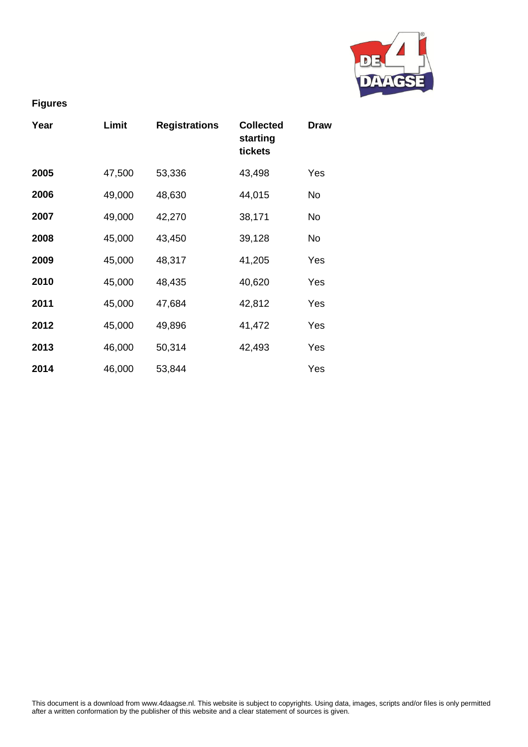

# **Figures**

| Year | Limit  | <b>Registrations</b> | <b>Collected</b><br>starting<br>tickets | Draw      |
|------|--------|----------------------|-----------------------------------------|-----------|
| 2005 | 47,500 | 53,336               | 43,498                                  | Yes       |
| 2006 | 49,000 | 48,630               | 44,015                                  | No        |
| 2007 | 49,000 | 42,270               | 38,171                                  | <b>No</b> |
| 2008 | 45,000 | 43,450               | 39,128                                  | No        |
| 2009 | 45,000 | 48,317               | 41,205                                  | Yes       |
| 2010 | 45,000 | 48,435               | 40,620                                  | Yes       |
| 2011 | 45,000 | 47,684               | 42,812                                  | Yes       |
| 2012 | 45,000 | 49,896               | 41,472                                  | Yes       |
| 2013 | 46,000 | 50,314               | 42,493                                  | Yes       |
| 2014 | 46,000 | 53,844               |                                         | Yes       |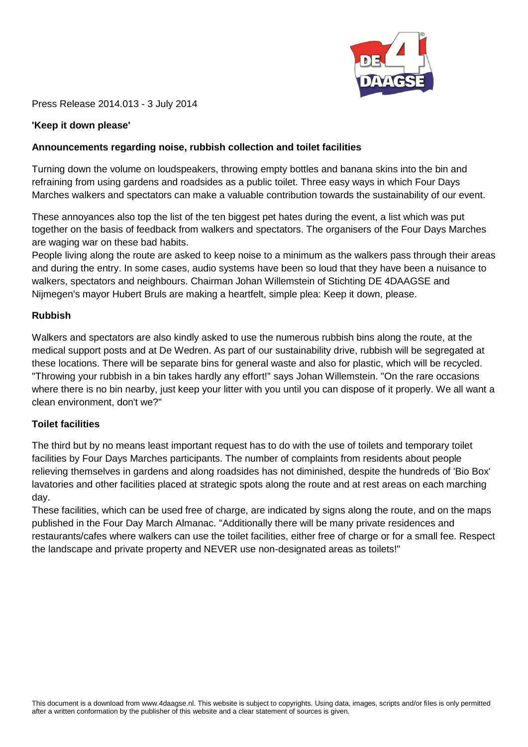

Press Release 2014.013 - 3 July 2014

## **'Keep it down please'**

## **Announcements regarding noise, rubbish collection and toilet facilities**

Turning down the volume on loudspeakers, throwing empty bottles and banana skins into the bin and refraining from using gardens and roadsides as a public toilet. Three easy ways in which Four Days Marches walkers and spectators can make a valuable contribution towards the sustainability of our event.

These annoyances also top the list of the ten biggest pet hates during the event, a list which was put together on the basis of feedback from walkers and spectators. The organisers of the Four Days Marches are waging war on these bad habits.

People living along the route are asked to keep noise to a minimum as the walkers pass through their areas and during the entry. In some cases, audio systems have been so loud that they have been a nuisance to walkers, spectators and neighbours. Chairman Johan Willemstein of Stichting DE 4DAAGSE and Nijmegen's mayor Hubert Bruls are making a heartfelt, simple plea: Keep it down, please.

## **Rubbish**

Walkers and spectators are also kindly asked to use the numerous rubbish bins along the route, at the medical support posts and at De Wedren. As part of our sustainability drive, rubbish will be segregated at these locations. There will be separate bins for general waste and also for plastic, which will be recycled. "Throwing your rubbish in a bin takes hardly any effort!" says Johan Willemstein. "On the rare occasions where there is no bin nearby, just keep your litter with you until you can dispose of it properly. We all want a clean environment, don't we?"

## **Toilet facilities**

The third but by no means least important request has to do with the use of toilets and temporary toilet facilities by Four Days Marches participants. The number of complaints from residents about people relieving themselves in gardens and along roadsides has not diminished, despite the hundreds of 'Bio Box' lavatories and other facilities placed at strategic spots along the route and at rest areas on each marching day.

These facilities, which can be used free of charge, are indicated by signs along the route, and on the maps published in the Four Day March Almanac. "Additionally there will be many private residences and restaurants/cafes where walkers can use the toilet facilities, either free of charge or for a small fee. Respect the landscape and private property and NEVER use non-designated areas as toilets!"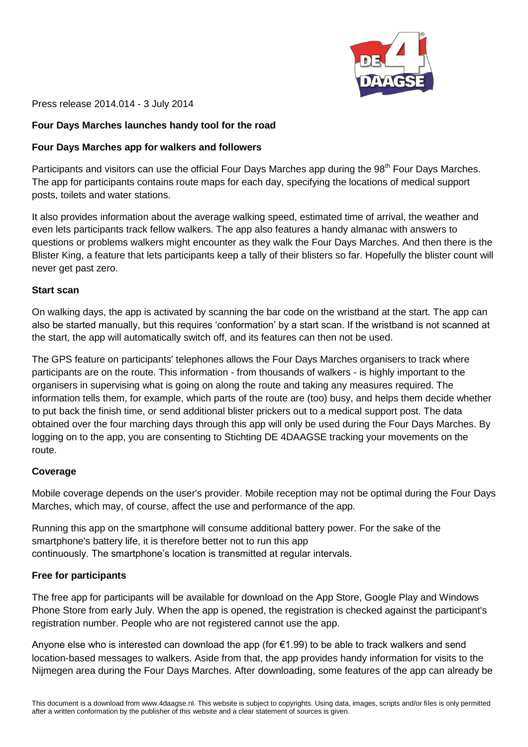

Press release 2014.014 - 3 July 2014

## **Four Days Marches launches handy tool for the road**

## **Four Days Marches app for walkers and followers**

Participants and visitors can use the official Four Days Marches app during the 98<sup>th</sup> Four Days Marches. The app for participants contains route maps for each day, specifying the locations of medical support posts, toilets and water stations.

It also provides information about the average walking speed, estimated time of arrival, the weather and even lets participants track fellow walkers. The app also features a handy almanac with answers to questions or problems walkers might encounter as they walk the Four Days Marches. And then there is the Blister King, a feature that lets participants keep a tally of their blisters so far. Hopefully the blister count will never get past zero.

## **Start scan**

On walking days, the app is activated by scanning the bar code on the wristband at the start. The app can also be started manually, but this requires 'conformation' by a start scan. If the wristband is not scanned at the start, the app will automatically switch off, and its features can then not be used.

The GPS feature on participants' telephones allows the Four Days Marches organisers to track where participants are on the route. This information - from thousands of walkers - is highly important to the organisers in supervising what is going on along the route and taking any measures required. The information tells them, for example, which parts of the route are (too) busy, and helps them decide whether to put back the finish time, or send additional blister prickers out to a medical support post. The data obtained over the four marching days through this app will only be used during the Four Days Marches. By logging on to the app, you are consenting to Stichting DE 4DAAGSE tracking your movements on the route.

## **Coverage**

Mobile coverage depends on the user's provider. Mobile reception may not be optimal during the Four Days Marches, which may, of course, affect the use and performance of the app.

Running this app on the smartphone will consume additional battery power. For the sake of the smartphone's battery life, it is therefore better not to run this app continuously. The smartphone's location is transmitted at regular intervals.

## **Free for participants**

The free app for participants will be available for download on the App Store, Google Play and Windows Phone Store from early July. When the app is opened, the registration is checked against the participant's registration number. People who are not registered cannot use the app.

Anyone else who is interested can download the app (for €1.99) to be able to track walkers and send location-based messages to walkers. Aside from that, the app provides handy information for visits to the Nijmegen area during the Four Days Marches. After downloading, some features of the app can already be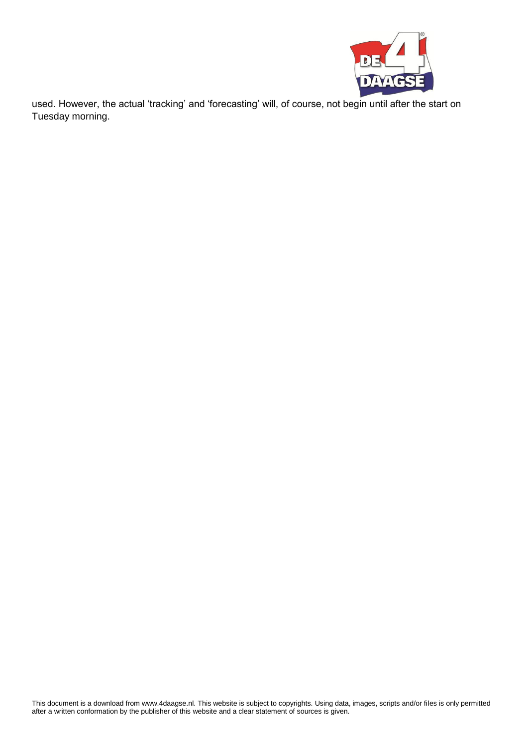

used. However, the actual 'tracking' and 'forecasting' will, of course, not begin until after the start on Tuesday morning.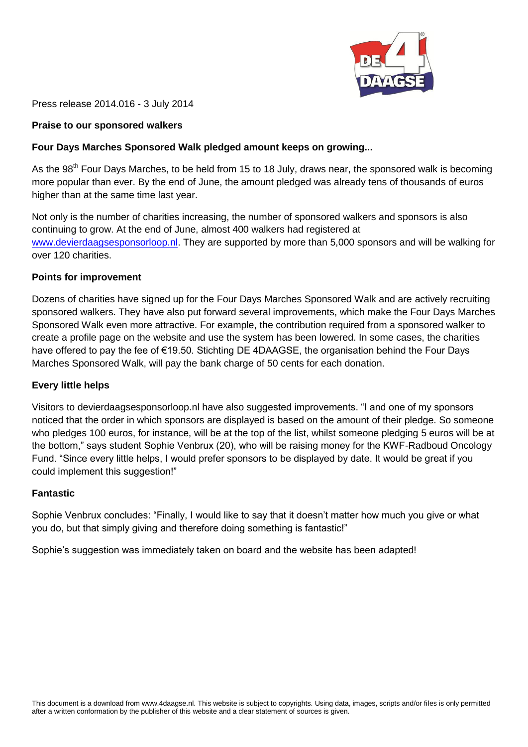

Press release 2014.016 - 3 July 2014

## **Praise to our sponsored walkers**

## **Four Days Marches Sponsored Walk pledged amount keeps on growing...**

As the 98<sup>th</sup> Four Days Marches, to be held from 15 to 18 July, draws near, the sponsored walk is becoming more popular than ever. By the end of June, the amount pledged was already tens of thousands of euros higher than at the same time last year.

Not only is the number of charities increasing, the number of sponsored walkers and sponsors is also continuing to grow. At the end of June, almost 400 walkers had registered at [www.devierdaagsesponsorloop.nl.](http://www.devierdaagsesponsorloop.nl/) They are supported by more than 5,000 sponsors and will be walking for over 120 charities.

#### **Points for improvement**

Dozens of charities have signed up for the Four Days Marches Sponsored Walk and are actively recruiting sponsored walkers. They have also put forward several improvements, which make the Four Days Marches Sponsored Walk even more attractive. For example, the contribution required from a sponsored walker to create a profile page on the website and use the system has been lowered. In some cases, the charities have offered to pay the fee of €19.50. Stichting DE 4DAAGSE, the organisation behind the Four Days Marches Sponsored Walk, will pay the bank charge of 50 cents for each donation.

#### **Every little helps**

Visitors to devierdaagsesponsorloop.nl have also suggested improvements. "I and one of my sponsors noticed that the order in which sponsors are displayed is based on the amount of their pledge. So someone who pledges 100 euros, for instance, will be at the top of the list, whilst someone pledging 5 euros will be at the bottom," says student Sophie Venbrux (20), who will be raising money for the KWF-Radboud Oncology Fund. "Since every little helps, I would prefer sponsors to be displayed by date. It would be great if you could implement this suggestion!"

#### **Fantastic**

Sophie Venbrux concludes: "Finally, I would like to say that it doesn't matter how much you give or what you do, but that simply giving and therefore doing something is fantastic!"

Sophie's suggestion was immediately taken on board and the website has been adapted!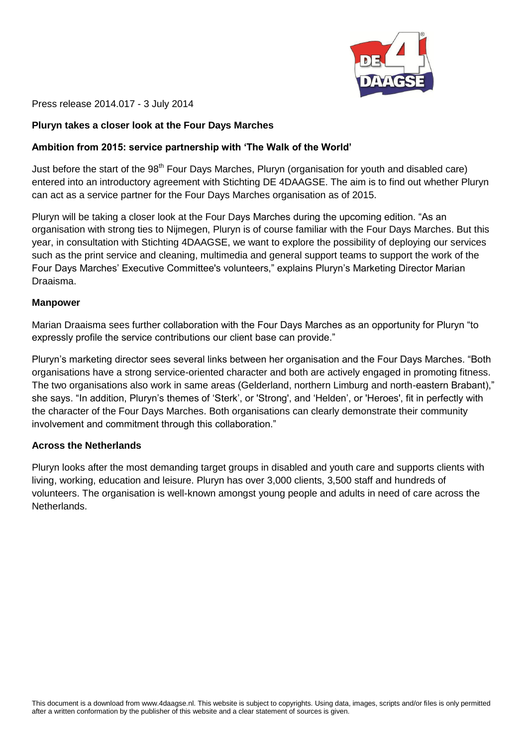

Press release 2014.017 - 3 July 2014

#### **Pluryn takes a closer look at the Four Days Marches**

#### **Ambition from 2015: service partnership with 'The Walk of the World'**

Just before the start of the 98<sup>th</sup> Four Days Marches, Pluryn (organisation for youth and disabled care) entered into an introductory agreement with Stichting DE 4DAAGSE. The aim is to find out whether Pluryn can act as a service partner for the Four Days Marches organisation as of 2015.

Pluryn will be taking a closer look at the Four Days Marches during the upcoming edition. "As an organisation with strong ties to Nijmegen, Pluryn is of course familiar with the Four Days Marches. But this year, in consultation with Stichting 4DAAGSE, we want to explore the possibility of deploying our services such as the print service and cleaning, multimedia and general support teams to support the work of the Four Days Marches' Executive Committee's volunteers," explains Pluryn's Marketing Director Marian Draaisma.

#### **Manpower**

Marian Draaisma sees further collaboration with the Four Days Marches as an opportunity for Pluryn "to expressly profile the service contributions our client base can provide."

Pluryn's marketing director sees several links between her organisation and the Four Days Marches. "Both organisations have a strong service-oriented character and both are actively engaged in promoting fitness. The two organisations also work in same areas (Gelderland, northern Limburg and north-eastern Brabant)," she says. "In addition, Pluryn's themes of 'Sterk', or 'Strong', and 'Helden', or 'Heroes', fit in perfectly with the character of the Four Days Marches. Both organisations can clearly demonstrate their community involvement and commitment through this collaboration."

#### **Across the Netherlands**

Pluryn looks after the most demanding target groups in disabled and youth care and supports clients with living, working, education and leisure. Pluryn has over 3,000 clients, 3,500 staff and hundreds of volunteers. The organisation is well-known amongst young people and adults in need of care across the Netherlands.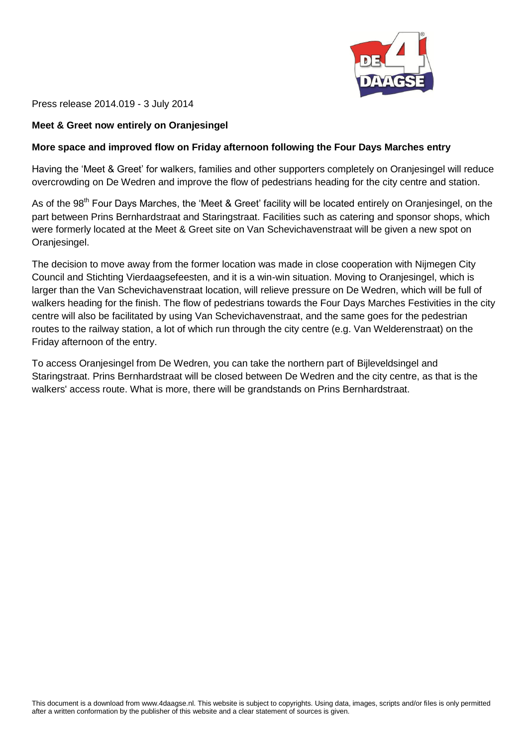

Press release 2014.019 - 3 July 2014

## **Meet & Greet now entirely on Oranjesingel**

## **More space and improved flow on Friday afternoon following the Four Days Marches entry**

Having the 'Meet & Greet' for walkers, families and other supporters completely on Oranjesingel will reduce overcrowding on De Wedren and improve the flow of pedestrians heading for the city centre and station.

As of the 98<sup>th</sup> Four Days Marches, the 'Meet & Greet' facility will be located entirely on Oranjesingel, on the part between Prins Bernhardstraat and Staringstraat. Facilities such as catering and sponsor shops, which were formerly located at the Meet & Greet site on Van Schevichavenstraat will be given a new spot on Oranjesingel.

The decision to move away from the former location was made in close cooperation with Nijmegen City Council and Stichting Vierdaagsefeesten, and it is a win-win situation. Moving to Oranjesingel, which is larger than the Van Schevichavenstraat location, will relieve pressure on De Wedren, which will be full of walkers heading for the finish. The flow of pedestrians towards the Four Days Marches Festivities in the city centre will also be facilitated by using Van Schevichavenstraat, and the same goes for the pedestrian routes to the railway station, a lot of which run through the city centre (e.g. Van Welderenstraat) on the Friday afternoon of the entry.

To access Oranjesingel from De Wedren, you can take the northern part of Bijleveldsingel and Staringstraat. Prins Bernhardstraat will be closed between De Wedren and the city centre, as that is the walkers' access route. What is more, there will be grandstands on Prins Bernhardstraat.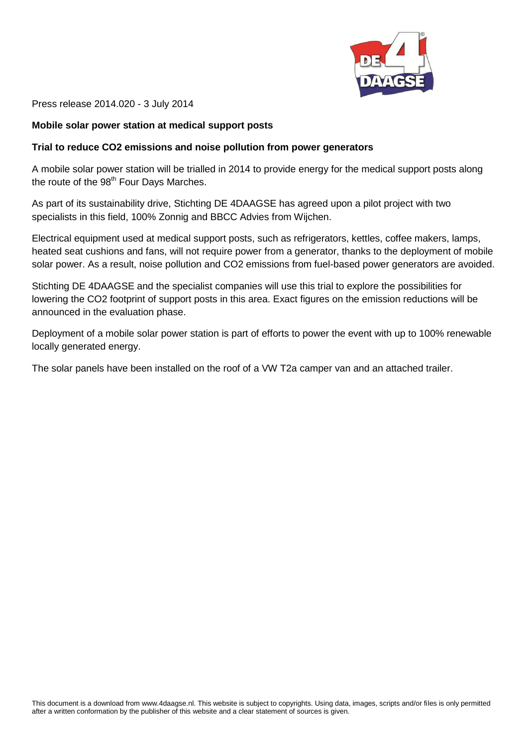

Press release 2014.020 - 3 July 2014

#### **Mobile solar power station at medical support posts**

#### **Trial to reduce CO2 emissions and noise pollution from power generators**

A mobile solar power station will be trialled in 2014 to provide energy for the medical support posts along the route of the 98<sup>th</sup> Four Days Marches.

As part of its sustainability drive, Stichting DE 4DAAGSE has agreed upon a pilot project with two specialists in this field, 100% Zonnig and BBCC Advies from Wijchen.

Electrical equipment used at medical support posts, such as refrigerators, kettles, coffee makers, lamps, heated seat cushions and fans, will not require power from a generator, thanks to the deployment of mobile solar power. As a result, noise pollution and CO2 emissions from fuel-based power generators are avoided.

Stichting DE 4DAAGSE and the specialist companies will use this trial to explore the possibilities for lowering the CO2 footprint of support posts in this area. Exact figures on the emission reductions will be announced in the evaluation phase.

Deployment of a mobile solar power station is part of efforts to power the event with up to 100% renewable locally generated energy.

The solar panels have been installed on the roof of a VW T2a camper van and an attached trailer.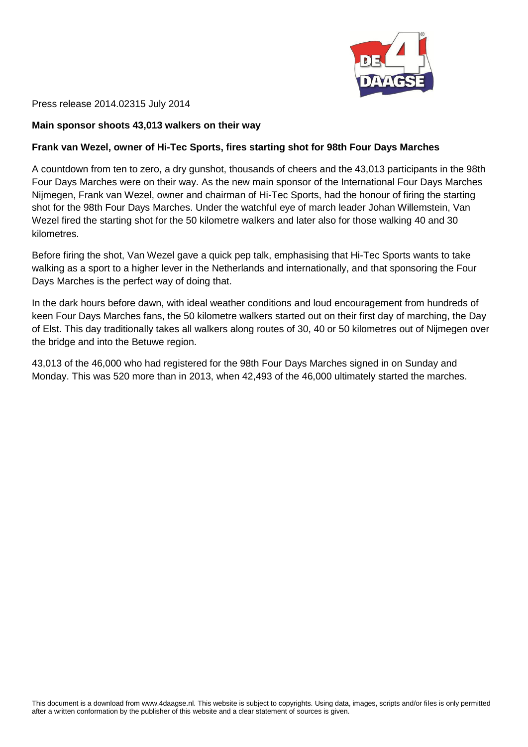

Press release 2014.02315 July 2014

#### **Main sponsor shoots 43,013 walkers on their way**

#### **Frank van Wezel, owner of Hi-Tec Sports, fires starting shot for 98th Four Days Marches**

A countdown from ten to zero, a dry gunshot, thousands of cheers and the 43,013 participants in the 98th Four Days Marches were on their way. As the new main sponsor of the International Four Days Marches Nijmegen, Frank van Wezel, owner and chairman of Hi-Tec Sports, had the honour of firing the starting shot for the 98th Four Days Marches. Under the watchful eye of march leader Johan Willemstein, Van Wezel fired the starting shot for the 50 kilometre walkers and later also for those walking 40 and 30 kilometres.

Before firing the shot, Van Wezel gave a quick pep talk, emphasising that Hi-Tec Sports wants to take walking as a sport to a higher lever in the Netherlands and internationally, and that sponsoring the Four Days Marches is the perfect way of doing that.

In the dark hours before dawn, with ideal weather conditions and loud encouragement from hundreds of keen Four Days Marches fans, the 50 kilometre walkers started out on their first day of marching, the Day of Elst. This day traditionally takes all walkers along routes of 30, 40 or 50 kilometres out of Nijmegen over the bridge and into the Betuwe region.

43,013 of the 46,000 who had registered for the 98th Four Days Marches signed in on Sunday and Monday. This was 520 more than in 2013, when 42,493 of the 46,000 ultimately started the marches.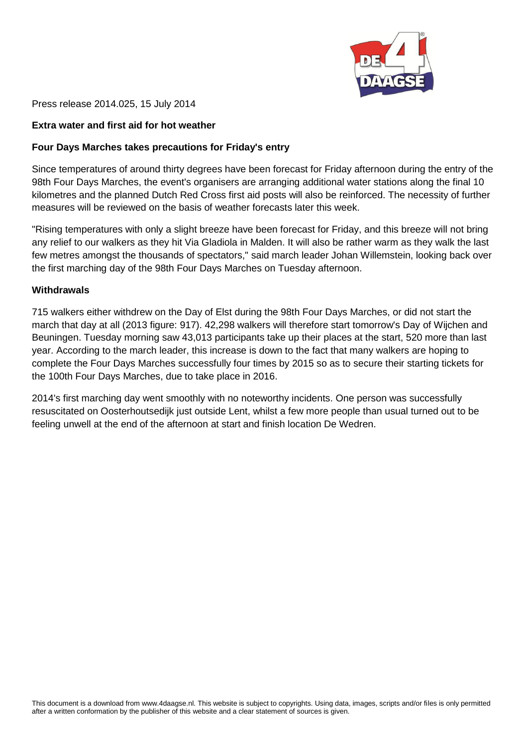

Press release 2014.025, 15 July 2014

## **Extra water and first aid for hot weather**

## **Four Days Marches takes precautions for Friday's entry**

Since temperatures of around thirty degrees have been forecast for Friday afternoon during the entry of the 98th Four Days Marches, the event's organisers are arranging additional water stations along the final 10 kilometres and the planned Dutch Red Cross first aid posts will also be reinforced. The necessity of further measures will be reviewed on the basis of weather forecasts later this week.

"Rising temperatures with only a slight breeze have been forecast for Friday, and this breeze will not bring any relief to our walkers as they hit Via Gladiola in Malden. It will also be rather warm as they walk the last few metres amongst the thousands of spectators," said march leader Johan Willemstein, looking back over the first marching day of the 98th Four Days Marches on Tuesday afternoon.

#### **Withdrawals**

715 walkers either withdrew on the Day of Elst during the 98th Four Days Marches, or did not start the march that day at all (2013 figure: 917). 42,298 walkers will therefore start tomorrow's Day of Wijchen and Beuningen. Tuesday morning saw 43,013 participants take up their places at the start, 520 more than last year. According to the march leader, this increase is down to the fact that many walkers are hoping to complete the Four Days Marches successfully four times by 2015 so as to secure their starting tickets for the 100th Four Days Marches, due to take place in 2016.

2014's first marching day went smoothly with no noteworthy incidents. One person was successfully resuscitated on Oosterhoutsedijk just outside Lent, whilst a few more people than usual turned out to be feeling unwell at the end of the afternoon at start and finish location De Wedren.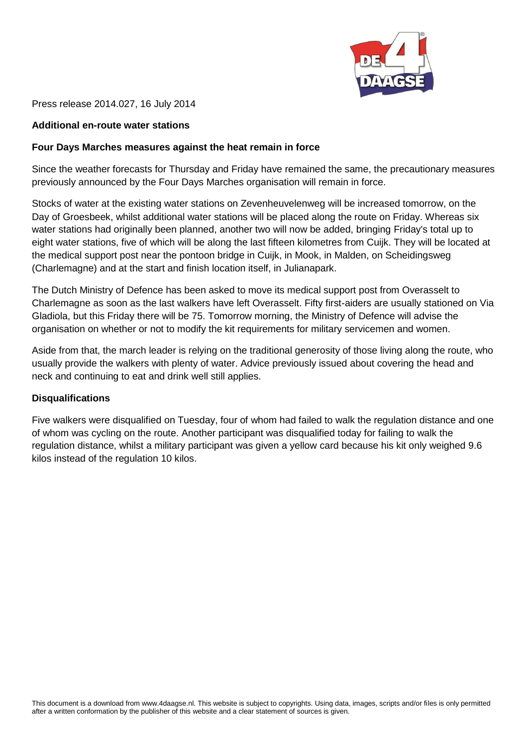

Press release 2014.027, 16 July 2014

## **Additional en-route water stations**

## **Four Days Marches measures against the heat remain in force**

Since the weather forecasts for Thursday and Friday have remained the same, the precautionary measures previously announced by the Four Days Marches organisation will remain in force.

Stocks of water at the existing water stations on Zevenheuvelenweg will be increased tomorrow, on the Day of Groesbeek, whilst additional water stations will be placed along the route on Friday. Whereas six water stations had originally been planned, another two will now be added, bringing Friday's total up to eight water stations, five of which will be along the last fifteen kilometres from Cuijk. They will be located at the medical support post near the pontoon bridge in Cuijk, in Mook, in Malden, on Scheidingsweg (Charlemagne) and at the start and finish location itself, in Julianapark.

The Dutch Ministry of Defence has been asked to move its medical support post from Overasselt to Charlemagne as soon as the last walkers have left Overasselt. Fifty first-aiders are usually stationed on Via Gladiola, but this Friday there will be 75. Tomorrow morning, the Ministry of Defence will advise the organisation on whether or not to modify the kit requirements for military servicemen and women.

Aside from that, the march leader is relying on the traditional generosity of those living along the route, who usually provide the walkers with plenty of water. Advice previously issued about covering the head and neck and continuing to eat and drink well still applies.

## **Disqualifications**

Five walkers were disqualified on Tuesday, four of whom had failed to walk the regulation distance and one of whom was cycling on the route. Another participant was disqualified today for failing to walk the regulation distance, whilst a military participant was given a yellow card because his kit only weighed 9.6 kilos instead of the regulation 10 kilos.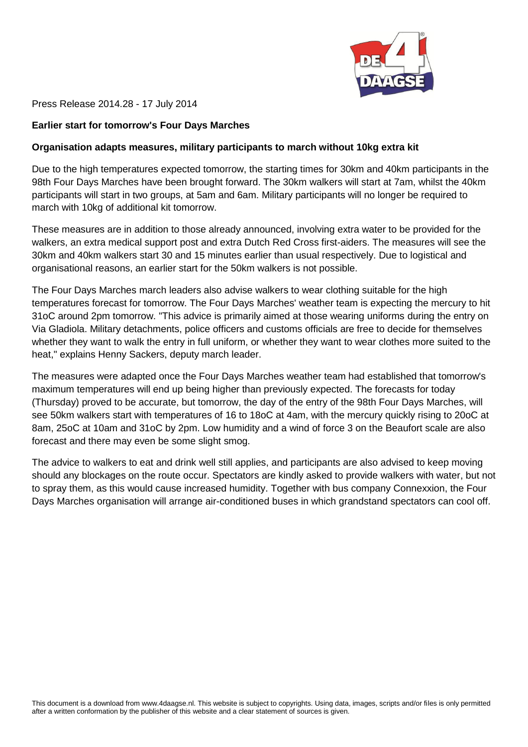

Press Release 2014.28 - 17 July 2014

#### **Earlier start for tomorrow's Four Days Marches**

#### **Organisation adapts measures, military participants to march without 10kg extra kit**

Due to the high temperatures expected tomorrow, the starting times for 30km and 40km participants in the 98th Four Days Marches have been brought forward. The 30km walkers will start at 7am, whilst the 40km participants will start in two groups, at 5am and 6am. Military participants will no longer be required to march with 10kg of additional kit tomorrow.

These measures are in addition to those already announced, involving extra water to be provided for the walkers, an extra medical support post and extra Dutch Red Cross first-aiders. The measures will see the 30km and 40km walkers start 30 and 15 minutes earlier than usual respectively. Due to logistical and organisational reasons, an earlier start for the 50km walkers is not possible.

The Four Days Marches march leaders also advise walkers to wear clothing suitable for the high temperatures forecast for tomorrow. The Four Days Marches' weather team is expecting the mercury to hit 31oC around 2pm tomorrow. "This advice is primarily aimed at those wearing uniforms during the entry on Via Gladiola. Military detachments, police officers and customs officials are free to decide for themselves whether they want to walk the entry in full uniform, or whether they want to wear clothes more suited to the heat," explains Henny Sackers, deputy march leader.

The measures were adapted once the Four Days Marches weather team had established that tomorrow's maximum temperatures will end up being higher than previously expected. The forecasts for today (Thursday) proved to be accurate, but tomorrow, the day of the entry of the 98th Four Days Marches, will see 50km walkers start with temperatures of 16 to 18oC at 4am, with the mercury quickly rising to 20oC at 8am, 25oC at 10am and 31oC by 2pm. Low humidity and a wind of force 3 on the Beaufort scale are also forecast and there may even be some slight smog.

The advice to walkers to eat and drink well still applies, and participants are also advised to keep moving should any blockages on the route occur. Spectators are kindly asked to provide walkers with water, but not to spray them, as this would cause increased humidity. Together with bus company Connexxion, the Four Days Marches organisation will arrange air-conditioned buses in which grandstand spectators can cool off.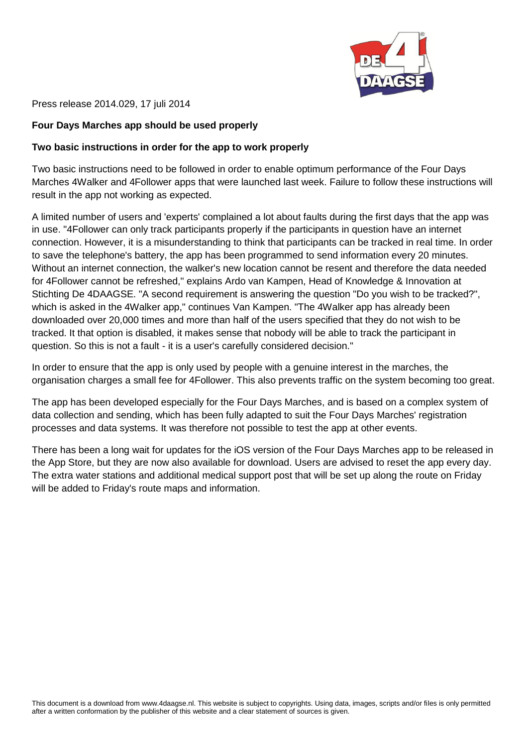

Press release 2014.029, 17 juli 2014

## **Four Days Marches app should be used properly**

## **Two basic instructions in order for the app to work properly**

Two basic instructions need to be followed in order to enable optimum performance of the Four Days Marches 4Walker and 4Follower apps that were launched last week. Failure to follow these instructions will result in the app not working as expected.

A limited number of users and 'experts' complained a lot about faults during the first days that the app was in use. "4Follower can only track participants properly if the participants in question have an internet connection. However, it is a misunderstanding to think that participants can be tracked in real time. In order to save the telephone's battery, the app has been programmed to send information every 20 minutes. Without an internet connection, the walker's new location cannot be resent and therefore the data needed for 4Follower cannot be refreshed," explains Ardo van Kampen, Head of Knowledge & Innovation at Stichting De 4DAAGSE. "A second requirement is answering the question "Do you wish to be tracked?", which is asked in the 4Walker app," continues Van Kampen. "The 4Walker app has already been downloaded over 20,000 times and more than half of the users specified that they do not wish to be tracked. It that option is disabled, it makes sense that nobody will be able to track the participant in question. So this is not a fault - it is a user's carefully considered decision."

In order to ensure that the app is only used by people with a genuine interest in the marches, the organisation charges a small fee for 4Follower. This also prevents traffic on the system becoming too great.

The app has been developed especially for the Four Days Marches, and is based on a complex system of data collection and sending, which has been fully adapted to suit the Four Days Marches' registration processes and data systems. It was therefore not possible to test the app at other events.

There has been a long wait for updates for the iOS version of the Four Days Marches app to be released in the App Store, but they are now also available for download. Users are advised to reset the app every day. The extra water stations and additional medical support post that will be set up along the route on Friday will be added to Friday's route maps and information.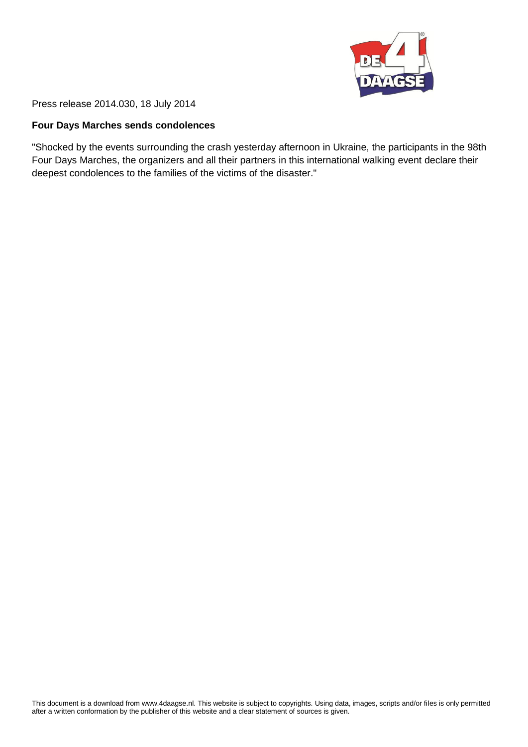

Press release 2014.030, 18 July 2014

#### **Four Days Marches sends condolences**

"Shocked by the events surrounding the crash yesterday afternoon in Ukraine, the participants in the 98th Four Days Marches, the organizers and all their partners in this international walking event declare their deepest condolences to the families of the victims of the disaster."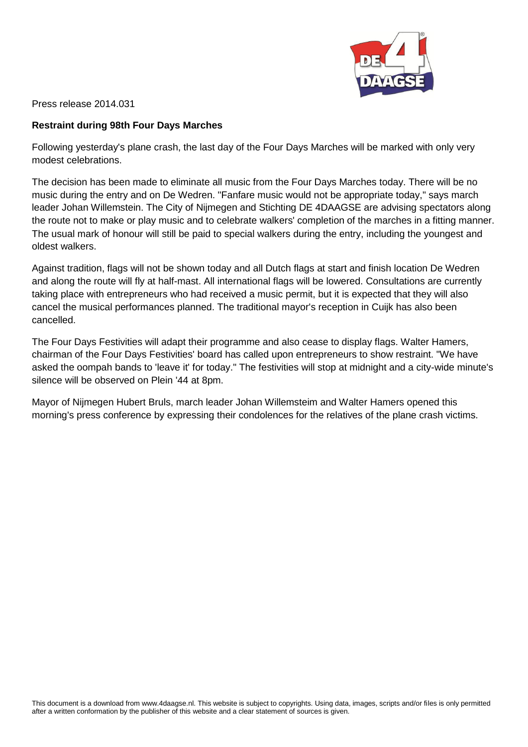

Press release 2014.031

## **Restraint during 98th Four Days Marches**

Following yesterday's plane crash, the last day of the Four Days Marches will be marked with only very modest celebrations.

The decision has been made to eliminate all music from the Four Days Marches today. There will be no music during the entry and on De Wedren. "Fanfare music would not be appropriate today," says march leader Johan Willemstein. The City of Nijmegen and Stichting DE 4DAAGSE are advising spectators along the route not to make or play music and to celebrate walkers' completion of the marches in a fitting manner. The usual mark of honour will still be paid to special walkers during the entry, including the youngest and oldest walkers.

Against tradition, flags will not be shown today and all Dutch flags at start and finish location De Wedren and along the route will fly at half-mast. All international flags will be lowered. Consultations are currently taking place with entrepreneurs who had received a music permit, but it is expected that they will also cancel the musical performances planned. The traditional mayor's reception in Cuijk has also been cancelled.

The Four Days Festivities will adapt their programme and also cease to display flags. Walter Hamers, chairman of the Four Days Festivities' board has called upon entrepreneurs to show restraint. "We have asked the oompah bands to 'leave it' for today." The festivities will stop at midnight and a city-wide minute's silence will be observed on Plein '44 at 8pm.

Mayor of Nijmegen Hubert Bruls, march leader Johan Willemsteim and Walter Hamers opened this morning's press conference by expressing their condolences for the relatives of the plane crash victims.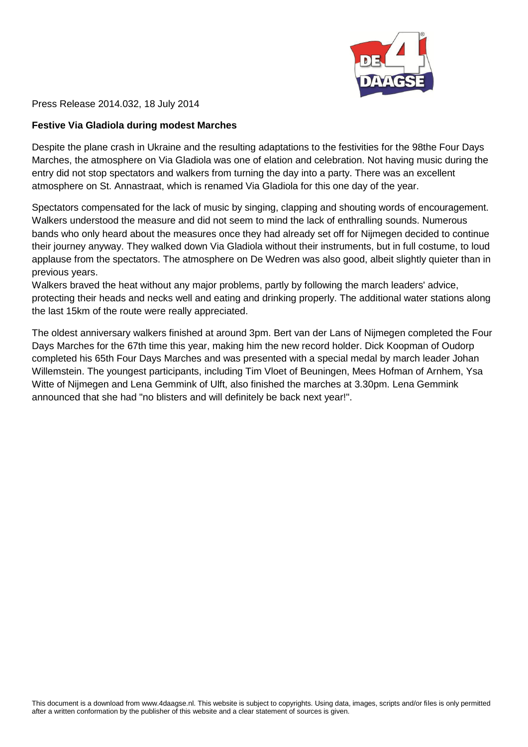

Press Release 2014.032, 18 July 2014

## **Festive Via Gladiola during modest Marches**

Despite the plane crash in Ukraine and the resulting adaptations to the festivities for the 98the Four Days Marches, the atmosphere on Via Gladiola was one of elation and celebration. Not having music during the entry did not stop spectators and walkers from turning the day into a party. There was an excellent atmosphere on St. Annastraat, which is renamed Via Gladiola for this one day of the year.

Spectators compensated for the lack of music by singing, clapping and shouting words of encouragement. Walkers understood the measure and did not seem to mind the lack of enthralling sounds. Numerous bands who only heard about the measures once they had already set off for Nijmegen decided to continue their journey anyway. They walked down Via Gladiola without their instruments, but in full costume, to loud applause from the spectators. The atmosphere on De Wedren was also good, albeit slightly quieter than in previous years.

Walkers braved the heat without any major problems, partly by following the march leaders' advice, protecting their heads and necks well and eating and drinking properly. The additional water stations along the last 15km of the route were really appreciated.

The oldest anniversary walkers finished at around 3pm. Bert van der Lans of Nijmegen completed the Four Days Marches for the 67th time this year, making him the new record holder. Dick Koopman of Oudorp completed his 65th Four Days Marches and was presented with a special medal by march leader Johan Willemstein. The youngest participants, including Tim Vloet of Beuningen, Mees Hofman of Arnhem, Ysa Witte of Nijmegen and Lena Gemmink of Ulft, also finished the marches at 3.30pm. Lena Gemmink announced that she had "no blisters and will definitely be back next year!".